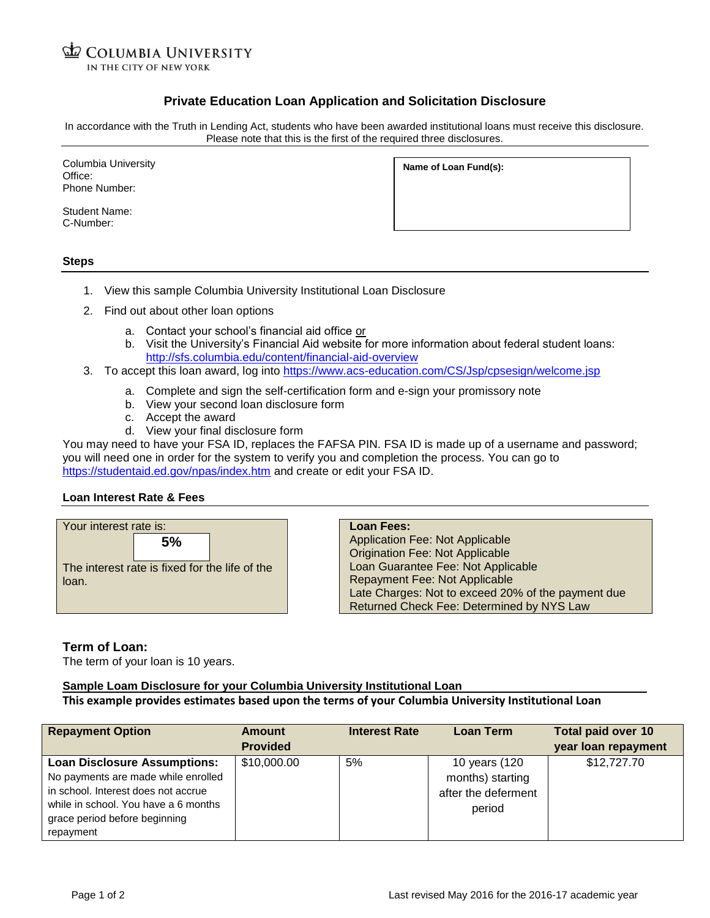**COLUMBIA UNIVERSITY** IN THE CITY OF NEW YORK

## **Private Education Loan Application and Solicitation Disclosure**

In accordance with the Truth in Lending Act, students who have been awarded institutional loans must receive this disclosure. Please note that this is the first of the required three disclosures.

Columbia University Office: Phone Number:

Student Name: C-Number:

**Name of Loan Fund(s):**

**Steps**

- 1. View this sample Columbia University Institutional Loan Disclosure
- 2. Find out about other loan options
	- a. Contact your school's financial aid office or
	- b. Visit the University's Financial Aid website for more information about federal student loans: <http://sfs.columbia.edu/content/financial-aid-overview>
- 3. To accept this loan award, log into<https://www.acs-education.com/CS/Jsp/cpsesign/welcome.jsp>
	- a. Complete and sign the self-certification form and e-sign your promissory note
	- b. View your second loan disclosure form
	- c. Accept the award
	- d. View your final disclosure form

You may need to have your FSA ID, replaces the FAFSA PIN. FSA ID is made up of a username and password; you will need one in order for the system to verify you and completion the process. You can go to <https://studentaid.ed.gov/npas/index.htm> and create or edit your FSA ID.

#### **Loan Interest Rate & Fees**



**Loan Fees:** Application Fee: Not Applicable Origination Fee: Not Applicable Loan Guarantee Fee: Not Applicable Repayment Fee: Not Applicable Late Charges: Not to exceed 20% of the payment due Returned Check Fee: Determined by NYS Law

#### **Term of Loan:**

The term of your loan is 10 years.

# **Sample Loam Disclosure for your Columbia University Institutional Loan**

### **This example provides estimates based upon the terms of your Columbia University Institutional Loan**

| <b>Repayment Option</b>              | Amount          | <b>Interest Rate</b> | <b>Loan Term</b>    | <b>Total paid over 10</b> |
|--------------------------------------|-----------------|----------------------|---------------------|---------------------------|
|                                      | <b>Provided</b> |                      |                     | year loan repayment       |
| <b>Loan Disclosure Assumptions:</b>  | \$10,000.00     | 5%                   | 10 years (120       | \$12,727.70               |
| No payments are made while enrolled  |                 |                      | months) starting    |                           |
| in school. Interest does not accrue  |                 |                      | after the deferment |                           |
| while in school. You have a 6 months |                 |                      | period              |                           |
| grace period before beginning        |                 |                      |                     |                           |
| repayment                            |                 |                      |                     |                           |